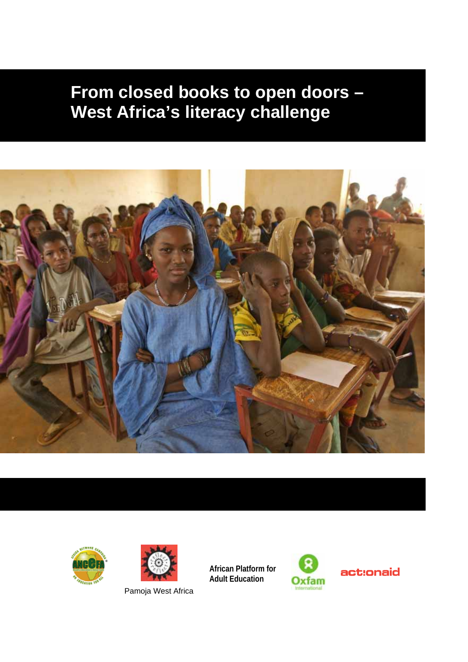# **From closed books to open doors – West Africa's literacy challenge**







Pamoja West Africa

**African Platform for Adult Education**

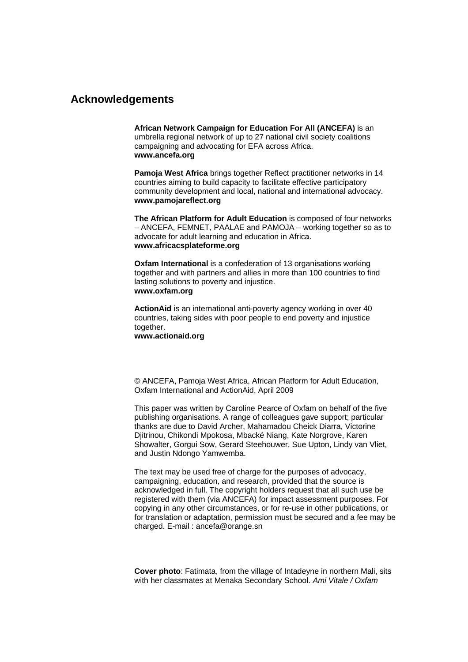## **Acknowledgements**

**African Network Campaign for Education For All (ANCEFA)** is an umbrella regional network of up to 27 national civil society coalitions campaigning and advocating for EFA across Africa. **www.ancefa.org**

**Pamoja West Africa** brings together Reflect practitioner networks in 14 countries aiming to build capacity to facilitate effective participatory community development and local, national and international advocacy. **www.pamojareflect.org** 

**The African Platform for Adult Education** is composed of four networks – ANCEFA, FEMNET, PAALAE and PAMOJA – working together so as to advocate for adult learning and education in Africa. **www.africacsplateforme.org** 

**Oxfam International** is a confederation of 13 organisations working together and with partners and allies in more than 100 countries to find lasting solutions to poverty and injustice. **[www.oxfam.org](http://www.oxfam.org/)**

**ActionAid** is an international anti-poverty agency working in over 40 countries, taking sides with poor people to end poverty and injustice together.

**www.actionaid.org** 

© ANCEFA, Pamoja West Africa, African Platform for Adult Education, Oxfam International and ActionAid, April 2009

This paper was written by Caroline Pearce of Oxfam on behalf of the five publishing organisations. A range of colleagues gave support; particular thanks are due to David Archer, Mahamadou Cheick Diarra, Victorine Djitrinou, Chikondi Mpokosa, Mbacké Niang, Kate Norgrove, Karen Showalter, Gorgui Sow, Gerard Steehouwer, Sue Upton, Lindy van Vliet, and Justin Ndongo Yamwemba.

The text may be used free of charge for the purposes of advocacy, campaigning, education, and research, provided that the source is acknowledged in full. The copyright holders request that all such use be registered with them (via ANCEFA) for impact assessment purposes. For copying in any other circumstances, or for re-use in other publications, or for translation or adaptation, permission must be secured and a fee may be charged. E-mail : ancefa@orange.sn

**Cover photo**: Fatimata, from the village of Intadeyne in northern Mali, sits with her classmates at Menaka Secondary School. *Ami Vitale / Oxfam*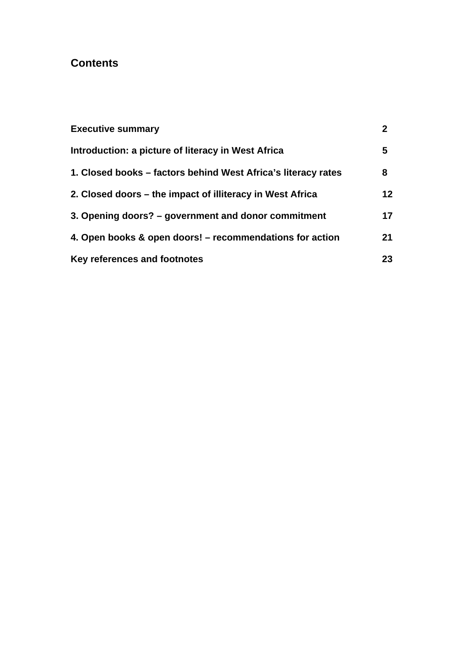# **Contents**

| <b>Executive summary</b>                                      | 2               |
|---------------------------------------------------------------|-----------------|
| Introduction: a picture of literacy in West Africa            | 5               |
| 1. Closed books – factors behind West Africa's literacy rates | 8               |
| 2. Closed doors – the impact of illiteracy in West Africa     | 12 <sup>2</sup> |
| 3. Opening doors? – government and donor commitment           | 17              |
| 4. Open books & open doors! – recommendations for action      | 21              |
| Key references and footnotes                                  | 23              |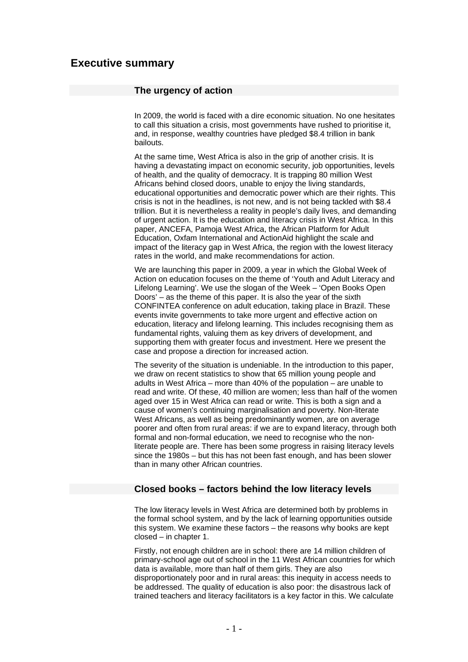## **Executive summary**

#### **The urgency of action**

In 2009, the world is faced with a dire economic situation. No one hesitates to call this situation a crisis, most governments have rushed to prioritise it, and, in response, wealthy countries have pledged \$8.4 trillion in bank bailouts.

At the same time, West Africa is also in the grip of another crisis. It is having a devastating impact on economic security, job opportunities, levels of health, and the quality of democracy. It is trapping 80 million West Africans behind closed doors, unable to enjoy the living standards, educational opportunities and democratic power which are their rights. This crisis is not in the headlines, is not new, and is not being tackled with \$8.4 trillion. But it is nevertheless a reality in people's daily lives, and demanding of urgent action. It is the education and literacy crisis in West Africa. In this paper, ANCEFA, Pamoja West Africa, the African Platform for Adult Education, Oxfam International and ActionAid highlight the scale and impact of the literacy gap in West Africa, the region with the lowest literacy rates in the world, and make recommendations for action.

We are launching this paper in 2009, a year in which the Global Week of Action on education focuses on the theme of 'Youth and Adult Literacy and Lifelong Learning'. We use the slogan of the Week – 'Open Books Open Doors' – as the theme of this paper. It is also the year of the sixth CONFINTEA conference on adult education, taking place in Brazil. These events invite governments to take more urgent and effective action on education, literacy and lifelong learning. This includes recognising them as fundamental rights, valuing them as key drivers of development, and supporting them with greater focus and investment. Here we present the case and propose a direction for increased action.

The severity of the situation is undeniable. In the introduction to this paper, we draw on recent statistics to show that 65 million young people and adults in West Africa – more than 40% of the population – are unable to read and write. Of these, 40 million are women; less than half of the women aged over 15 in West Africa can read or write. This is both a sign and a cause of women's continuing marginalisation and poverty. Non-literate West Africans, as well as being predominantly women, are on average poorer and often from rural areas: if we are to expand literacy, through both formal and non-formal education, we need to recognise who the nonliterate people are. There has been some progress in raising literacy levels since the 1980s – but this has not been fast enough, and has been slower than in many other African countries.

#### **Closed books – factors behind the low literacy levels**

The low literacy levels in West Africa are determined both by problems in the formal school system, and by the lack of learning opportunities outside this system. We examine these factors – the reasons why books are kept closed – in chapter 1.

Firstly, not enough children are in school: there are 14 million children of primary-school age out of school in the 11 West African countries for which data is available, more than half of them girls. They are also disproportionately poor and in rural areas: this inequity in access needs to be addressed. The quality of education is also poor: the disastrous lack of trained teachers and literacy facilitators is a key factor in this. We calculate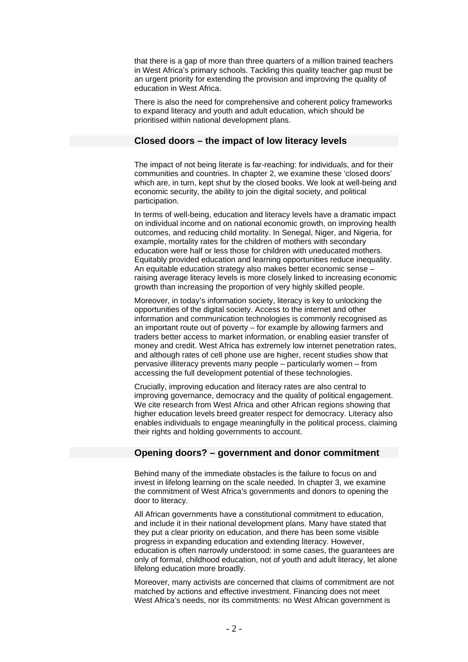that there is a gap of more than three quarters of a million trained teachers in West Africa's primary schools. Tackling this quality teacher gap must be an urgent priority for extending the provision and improving the quality of education in West Africa.

There is also the need for comprehensive and coherent policy frameworks to expand literacy and youth and adult education, which should be prioritised within national development plans.

#### **Closed doors – the impact of low literacy levels**

The impact of not being literate is far-reaching: for individuals, and for their communities and countries. In chapter 2, we examine these 'closed doors' which are, in turn, kept shut by the closed books. We look at well-being and economic security, the ability to join the digital society, and political participation.

In terms of well-being, education and literacy levels have a dramatic impact on individual income and on national economic growth, on improving health outcomes, and reducing child mortality. In Senegal, Niger, and Nigeria, for example, mortality rates for the children of mothers with secondary education were half or less those for children with uneducated mothers. Equitably provided education and learning opportunities reduce inequality. An equitable education strategy also makes better economic sense – raising average literacy levels is more closely linked to increasing economic growth than increasing the proportion of very highly skilled people.

Moreover, in today's information society, literacy is key to unlocking the opportunities of the digital society. Access to the internet and other information and communication technologies is commonly recognised as an important route out of poverty – for example by allowing farmers and traders better access to market information, or enabling easier transfer of money and credit. West Africa has extremely low internet penetration rates, and although rates of cell phone use are higher, recent studies show that pervasive illiteracy prevents many people – particularly women – from accessing the full development potential of these technologies.

Crucially, improving education and literacy rates are also central to improving governance, democracy and the quality of political engagement. We cite research from West Africa and other African regions showing that higher education levels breed greater respect for democracy. Literacy also enables individuals to engage meaningfully in the political process, claiming their rights and holding governments to account.

#### **Opening doors? – government and donor commitment**

Behind many of the immediate obstacles is the failure to focus on and invest in lifelong learning on the scale needed. In chapter 3, we examine the commitment of West Africa's governments and donors to opening the door to literacy.

All African governments have a constitutional commitment to education, and include it in their national development plans. Many have stated that they put a clear priority on education, and there has been some visible progress in expanding education and extending literacy. However, education is often narrowly understood: in some cases, the guarantees are only of formal, childhood education, not of youth and adult literacy, let alone lifelong education more broadly.

Moreover, many activists are concerned that claims of commitment are not matched by actions and effective investment. Financing does not meet West Africa's needs, nor its commitments: no West African government is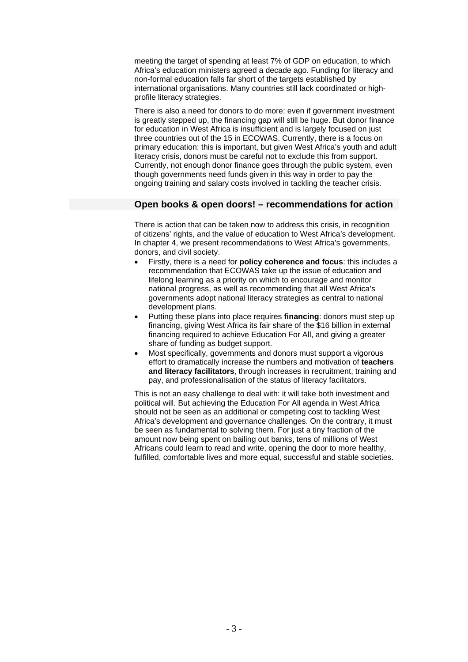meeting the target of spending at least 7% of GDP on education, to which Africa's education ministers agreed a decade ago. Funding for literacy and non-formal education falls far short of the targets established by international organisations. Many countries still lack coordinated or highprofile literacy strategies.

There is also a need for donors to do more: even if government investment is greatly stepped up, the financing gap will still be huge. But donor finance for education in West Africa is insufficient and is largely focused on just three countries out of the 15 in ECOWAS. Currently, there is a focus on primary education: this is important, but given West Africa's youth and adult literacy crisis, donors must be careful not to exclude this from support. Currently, not enough donor finance goes through the public system, even though governments need funds given in this way in order to pay the ongoing training and salary costs involved in tackling the teacher crisis.

#### **Open books & open doors! – recommendations for action**

There is action that can be taken now to address this crisis, in recognition of citizens' rights, and the value of education to West Africa's development. In chapter 4, we present recommendations to West Africa's governments, donors, and civil society.

- Firstly, there is a need for **policy coherence and focus**: this includes a recommendation that ECOWAS take up the issue of education and lifelong learning as a priority on which to encourage and monitor national progress, as well as recommending that all West Africa's governments adopt national literacy strategies as central to national development plans.
- Putting these plans into place requires **financing**: donors must step up financing, giving West Africa its fair share of the \$16 billion in external financing required to achieve Education For All, and giving a greater share of funding as budget support.
- Most specifically, governments and donors must support a vigorous effort to dramatically increase the numbers and motivation of **teachers and literacy facilitators**, through increases in recruitment, training and pay, and professionalisation of the status of literacy facilitators.

This is not an easy challenge to deal with: it will take both investment and political will. But achieving the Education For All agenda in West Africa should not be seen as an additional or competing cost to tackling West Africa's development and governance challenges. On the contrary, it must be seen as fundamental to solving them. For just a tiny fraction of the amount now being spent on bailing out banks, tens of millions of West Africans could learn to read and write, opening the door to more healthy, fulfilled, comfortable lives and more equal, successful and stable societies.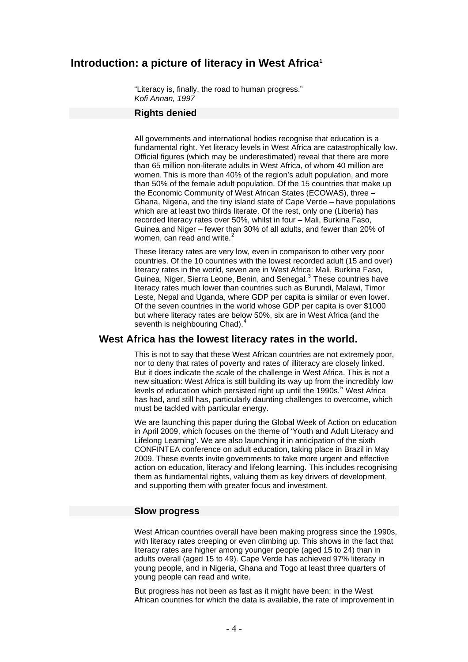## Introduction: a picture of literacy in West Africa<sup>[1](#page-26-0)</sup>

"Literacy is, finally, the road to human progress." *Kofi Annan, 1997*

#### **Rights denied**

All governments and international bodies recognise that education is a fundamental right. Yet literacy levels in West Africa are catastrophically low. Official figures (which may be underestimated) reveal that there are more than 65 million non-literate adults in West Africa, of whom 40 million are women. This is more than 40% of the region's adult population, and more than 50% of the female adult population. Of the 15 countries that make up the Economic Community of West African States (ECOWAS), three – Ghana, Nigeria, and the tiny island state of Cape Verde – have populations which are at least two thirds literate. Of the rest, only one (Liberia) has recorded literacy rates over 50%, whilst in four – Mali, Burkina Faso, Guinea and Niger – fewer than 30% of all adults, and fewer than 20% of women, can read and write.<sup>[2](#page-26-1)</sup>

These literacy rates are very low, even in comparison to other very poor countries. Of the 10 countries with the lowest recorded adult (15 and over) literacy rates in the world, seven are in West Africa: Mali, Burkina Faso, Guinea, Niger, Sierra Leone, Benin, and Senegal.<sup>[3](#page-26-1)</sup> These countries have literacy rates much lower than countries such as Burundi, Malawi, Timor Leste, Nepal and Uganda, where GDP per capita is similar or even lower. Of the seven countries in the world whose GDP per capita is over \$1000 but where literacy rates are below 50%, six are in West Africa (and the seventh is neighbouring Chad).<sup>[4](#page-26-1)</sup>

#### **West Africa has the lowest literacy rates in the world.**

This is not to say that these West African countries are not extremely poor, nor to deny that rates of poverty and rates of illiteracy are closely linked. But it does indicate the scale of the challenge in West Africa. This is not a new situation: West Africa is still building its way up from the incredibly low levels of education which persisted right up until the 1990s.<sup>[5](#page-26-1)</sup> West Africa has had, and still has, particularly daunting challenges to overcome, which must be tackled with particular energy.

We are launching this paper during the Global Week of Action on education in April 2009, which focuses on the theme of 'Youth and Adult Literacy and Lifelong Learning'. We are also launching it in anticipation of the sixth CONFINTEA conference on adult education, taking place in Brazil in May 2009. These events invite governments to take more urgent and effective action on education, literacy and lifelong learning. This includes recognising them as fundamental rights, valuing them as key drivers of development, and supporting them with greater focus and investment.

#### **Slow progress**

West African countries overall have been making progress since the 1990s, with literacy rates creeping or even climbing up. This shows in the fact that literacy rates are higher among younger people (aged 15 to 24) than in adults overall (aged 15 to 49). Cape Verde has achieved 97% literacy in young people, and in Nigeria, Ghana and Togo at least three quarters of young people can read and write.

But progress has not been as fast as it might have been: in the West African countries for which the data is available, the rate of improvement in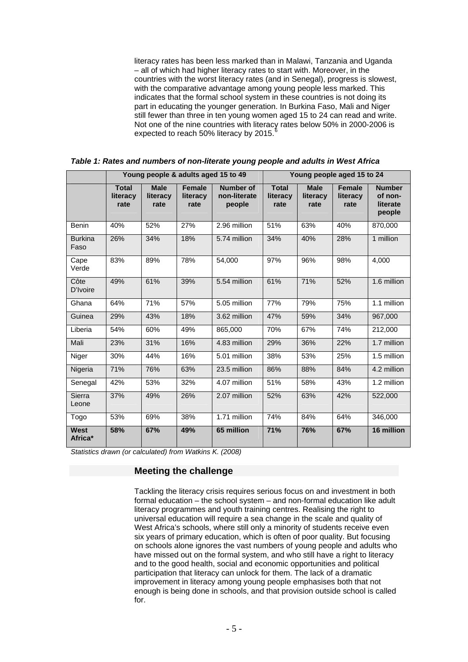literacy rates has been less marked than in Malawi, Tanzania and Uganda – all of which had higher literacy rates to start with. Moreover, in the countries with the worst literacy rates (and in Senegal), progress is slowest, with the comparative advantage among young people less marked. This indicates that the formal school system in these countries is not doing its part in educating the younger generation. In Burkina Faso, Mali and Niger still fewer than three in ten young women aged 15 to 24 can read and write. Not one of the nine countries with literacy rates below 50% in 2000-2006 is expected to reach 50% literacy by 2015.

|                        | Young people & adults aged 15 to 49 |                                 |                                   | Young people aged 15 to 24                 |                                  |                                 |                                   |                                                |
|------------------------|-------------------------------------|---------------------------------|-----------------------------------|--------------------------------------------|----------------------------------|---------------------------------|-----------------------------------|------------------------------------------------|
|                        | <b>Total</b><br>literacy<br>rate    | <b>Male</b><br>literacy<br>rate | <b>Female</b><br>literacy<br>rate | <b>Number of</b><br>non-literate<br>people | <b>Total</b><br>literacy<br>rate | <b>Male</b><br>literacy<br>rate | <b>Female</b><br>literacy<br>rate | <b>Number</b><br>of non-<br>literate<br>people |
| <b>Benin</b>           | 40%                                 | 52%                             | 27%                               | 2.96 million                               | 51%                              | 63%                             | 40%                               | 870,000                                        |
| <b>Burkina</b><br>Faso | 26%                                 | 34%                             | 18%                               | 5.74 million                               | 34%                              | 40%                             | 28%                               | 1 million                                      |
| Cape<br>Verde          | 83%                                 | 89%                             | 78%                               | 54,000                                     | 97%                              | 96%                             | 98%                               | 4,000                                          |
| Côte<br>D'Ivoire       | 49%                                 | 61%                             | 39%                               | 5.54 million                               | 61%                              | 71%                             | 52%                               | 1.6 million                                    |
| Ghana                  | 64%                                 | 71%                             | 57%                               | 5.05 million                               | 77%                              | 79%                             | 75%                               | 1.1 million                                    |
| Guinea                 | 29%                                 | 43%                             | 18%                               | 3.62 million                               | 47%                              | 59%                             | 34%                               | 967,000                                        |
| Liberia                | 54%                                 | 60%                             | 49%                               | 865,000                                    | 70%                              | 67%                             | 74%                               | 212,000                                        |
| Mali                   | 23%                                 | 31%                             | 16%                               | 4.83 million                               | 29%                              | 36%                             | 22%                               | 1.7 million                                    |
| Niger                  | 30%                                 | 44%                             | 16%                               | 5.01 million                               | 38%                              | 53%                             | 25%                               | 1.5 million                                    |
| Nigeria                | 71%                                 | 76%                             | 63%                               | 23.5 million                               | 86%                              | 88%                             | 84%                               | 4.2 million                                    |
| Senegal                | 42%                                 | 53%                             | 32%                               | 4.07 million                               | 51%                              | 58%                             | 43%                               | 1.2 million                                    |
| <b>Sierra</b><br>Leone | 37%                                 | 49%                             | 26%                               | 2.07 million                               | 52%                              | 63%                             | 42%                               | 522,000                                        |
| Togo                   | 53%                                 | 69%                             | 38%                               | 1.71 million                               | 74%                              | 84%                             | 64%                               | 346,000                                        |
| West<br>Africa*        | 58%                                 | 67%                             | 49%                               | 65 million                                 | 71%                              | 76%                             | 67%                               | 16 million                                     |

*Table 1: Rates and numbers of non-literate young people and adults in West Africa* 

*Statistics drawn (or calculated) from Watkins K. (2008)* 

#### **Meeting the challenge**

Tackling the literacy crisis requires serious focus on and investment in both formal education – the school system – and non-formal education like adult literacy programmes and youth training centres. Realising the right to universal education will require a sea change in the scale and quality of West Africa's schools, where still only a minority of students receive even six years of primary education, which is often of poor quality. But focusing on schools alone ignores the vast numbers of young people and adults who have missed out on the formal system, and who still have a right to literacy and to the good health, social and economic opportunities and political participation that literacy can unlock for them. The lack of a dramatic improvement in literacy among young people emphasises both that not enough is being done in schools, and that provision outside school is called for.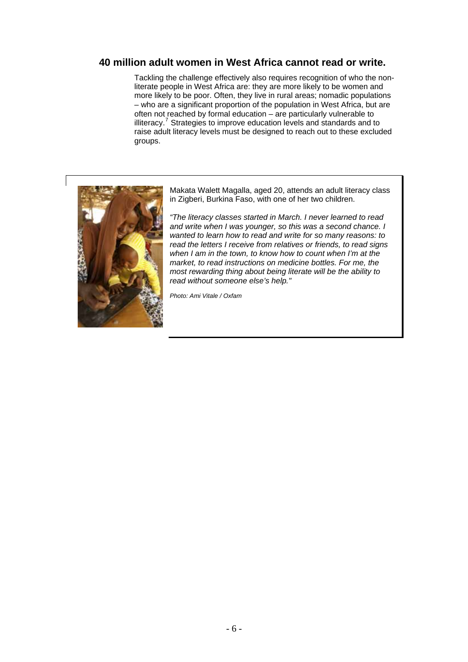## **40 million adult women in West Africa cannot read or write.**

Tackling the challenge effectively also requires recognition of who the nonliterate people in West Africa are: they are more likely to be women and more likely to be poor. Often, they live in rural areas; nomadic populations – who are a significant proportion of the population in West Africa, but are often not reached by formal education – are particularly vulnerable to illiteracy.<sup>[7](#page-26-1)</sup> Strategies to improve education levels and standards and to raise adult literacy levels must be designed to reach out to these excluded groups.



Makata Walett Magalla, aged 20, attends an adult literacy class in Zigberi, Burkina Faso, with one of her two children.

*"The literacy classes started in March. I never learned to read and write when I was younger, so this was a second chance. I wanted to learn how to read and write for so many reasons: to read the letters I receive from relatives or friends, to read signs when I am in the town, to know how to count when I'm at the market, to read instructions on medicine bottles. For me, the most rewarding thing about being literate will be the ability to read without someone else's help."* 

*Photo: Ami Vitale / Oxfam*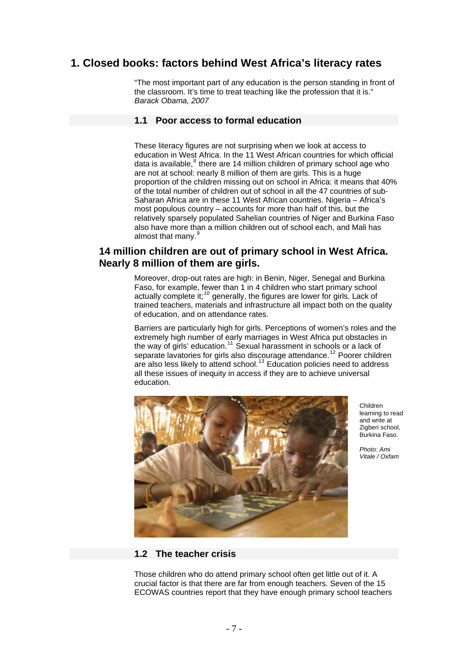# **1. Closed books: factors behind West Africa's literacy rates**

"The most important part of any education is the person standing in front of the classroom. It's time to treat teaching like the profession that it is." *Barack Obama, 2007* 

#### **1.1 Poor access to formal education**

These literacy figures are not surprising when we look at access to education in West Africa. In the 11 West African countries for which official data is available, $^8$  $^8$  there are 14 million children of primary school age who are not at school: nearly 8 million of them are girls. This is a huge proportion of the children missing out on school in Africa: it means that 40% of the total number of children out of school in all the 47 countries of sub-Saharan Africa are in these 11 West African countries. Nigeria – Africa's most populous country – accounts for more than half of this, but the relatively sparsely populated Sahelian countries of Niger and Burkina Faso also have more than a million children out of school each, and Mali has almost that many.<sup>[9](#page-26-1)</sup>

## **14 million children are out of primary school in West Africa. Nearly 8 million of them are girls.**

Moreover, drop-out rates are high: in Benin, Niger, Senegal and Burkina Faso, for example, fewer than 1 in 4 children who start primary school actually complete it;<sup>[10](#page-26-1)</sup> generally, the figures are lower for girls. Lack of trained teachers, materials and infrastructure all impact both on the quality of education, and on attendance rates.

Barriers are particularly high for girls. Perceptions of women's roles and the extremely high number of early marriages in West Africa put obstacles in the way of girls' education.<sup>[11](#page-26-1)</sup> Sexual harassment in schools or a lack of separate lavatories for girls also discourage attendance.<sup>[12](#page-26-1)</sup> Poorer children are also less likely to attend school.[13](#page-26-1) Education policies need to address all these issues of inequity in access if they are to achieve universal education.



Children learning to read and write at Zigberi school, Burkina Faso.

*Photo: Ami Vitale / Oxfam*

## **1.2 The teacher crisis**

Those children who do attend primary school often get little out of it. A crucial factor is that there are far from enough teachers. Seven of the 15 ECOWAS countries report that they have enough primary school teachers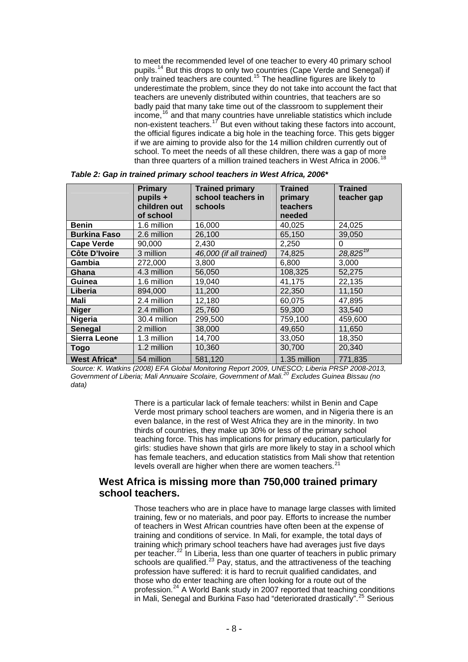to meet the recommended level of one teacher to every 40 primary school pupils.<sup>[14](#page-26-1)</sup> But this drops to only two countries (Cape Verde and Senegal) if only trained teachers are counted.<sup>[15](#page-26-1)</sup> The headline figures are likely to underestimate the problem, since they do not take into account the fact that teachers are unevenly distributed within countries, that teachers are so badly paid that many take time out of the classroom to supplement their income,  $16$  and that many countries have unreliable statistics which include non-existent teachers.<sup>[17](#page-26-1)</sup> But even without taking these factors into account, the official figures indicate a big hole in the teaching force. This gets bigger if we are aiming to provide also for the 14 million children currently out of school. To meet the needs of all these children, there was a gap of more than three quarters of a million trained teachers in West Africa in 2006.<sup>1</sup>

|                      | <b>Primary</b><br>pupils +<br>children out<br>of school | <b>Trained primary</b><br>school teachers in<br>schools | <b>Trained</b><br>primary<br>teachers<br>needed | <b>Trained</b><br>teacher gap |
|----------------------|---------------------------------------------------------|---------------------------------------------------------|-------------------------------------------------|-------------------------------|
| <b>Benin</b>         | 1.6 million                                             | 16,000                                                  | 40,025                                          | 24,025                        |
| <b>Burkina Faso</b>  | 2.6 million                                             | 26,100                                                  | 65,150                                          | 39,050                        |
| <b>Cape Verde</b>    | 90,000                                                  | 2,430                                                   | 2,250                                           | 0                             |
| <b>Côte D'Ivoire</b> | 3 million                                               | 46,000 (if all trained)                                 | 74,825                                          | $28,825^{19}$                 |
| Gambia               | 272,000                                                 | 3,800                                                   | 6,800                                           | 3,000                         |
| Ghana                | 4.3 million                                             | 56,050                                                  | 108,325                                         | 52,275                        |
| Guinea               | 1.6 million                                             | 19,040                                                  | 41,175                                          | 22,135                        |
| Liberia              | 894,000                                                 | 11,200                                                  | 22,350                                          | 11,150                        |
| Mali                 | 2.4 million                                             | 12,180                                                  | 60,075                                          | 47,895                        |
| <b>Niger</b>         | 2.4 million                                             | 25,760                                                  | 59,300                                          | 33,540                        |
| <b>Nigeria</b>       | 30.4 million                                            | 299,500                                                 | 759,100                                         | 459,600                       |
| <b>Senegal</b>       | 2 million                                               | 38,000                                                  | 49,650                                          | 11,650                        |
| <b>Sierra Leone</b>  | 1.3 million                                             | 14,700                                                  | 33,050                                          | 18,350                        |
| Togo                 | 1.2 million                                             | 10,360                                                  | 30,700                                          | 20,340                        |
| <b>West Africa*</b>  | 54 million                                              | 581,120                                                 | 1.35 million                                    | 771,835                       |

*Table 2: Gap in trained primary school teachers in West Africa, 2006\** 

*Source: K. Watkins (2008) EFA Global Monitoring Report 2009, UNESCO; Liberia PRSP 2008-2013, Government of Liberia; Mali Annuaire Scolaire, Government of Mali.[20](#page-26-1) Excludes Guinea Bissau (no data)* 

> There is a particular lack of female teachers: whilst in Benin and Cape Verde most primary school teachers are women, and in Nigeria there is an even balance, in the rest of West Africa they are in the minority. In two thirds of countries, they make up 30% or less of the primary school teaching force. This has implications for primary education, particularly for girls: studies have shown that girls are more likely to stay in a school which has female teachers, and education statistics from Mali show that retention levels overall are higher when there are women teachers.<sup>[21](#page-26-1)</sup>

## **West Africa is missing more than 750,000 trained primary school teachers.**

Those teachers who are in place have to manage large classes with limited training, few or no materials, and poor pay. Efforts to increase the number of teachers in West African countries have often been at the expense of training and conditions of service. In Mali, for example, the total days of training which primary school teachers have had averages just five days per teacher.<sup>[22](#page-26-1)</sup> In Liberia, less than one quarter of teachers in public primary schools are qualified.<sup>[23](#page-26-1)</sup> Pay, status, and the attractiveness of the teaching profession have suffered: it is hard to recruit qualified candidates, and those who do enter teaching are often looking for a route out of the profession.[24](#page-26-1) A World Bank study in 2007 reported that teaching conditions in Mali, Senegal and Burkina Faso had "deteriorated drastically".<sup>[25](#page-26-1)</sup> Serious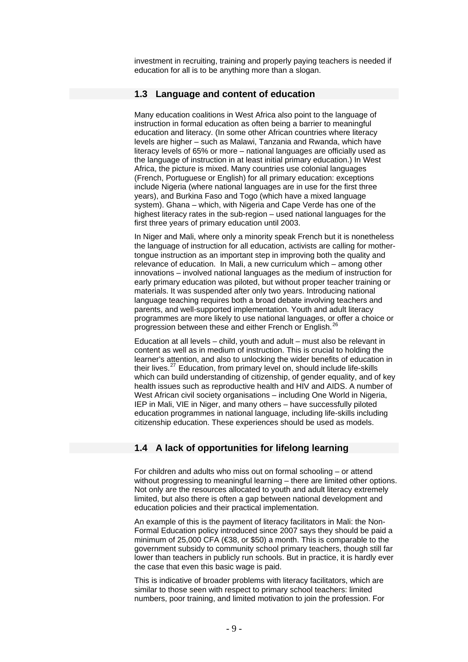investment in recruiting, training and properly paying teachers is needed if education for all is to be anything more than a slogan.

#### **1.3 Language and content of education**

Many education coalitions in West Africa also point to the language of instruction in formal education as often being a barrier to meaningful education and literacy. (In some other African countries where literacy levels are higher – such as Malawi, Tanzania and Rwanda, which have literacy levels of 65% or more – national languages are officially used as the language of instruction in at least initial primary education.) In West Africa, the picture is mixed. Many countries use colonial languages (French, Portuguese or English) for all primary education: exceptions include Nigeria (where national languages are in use for the first three years), and Burkina Faso and Togo (which have a mixed language system). Ghana – which, with Nigeria and Cape Verde has one of the highest literacy rates in the sub-region – used national languages for the first three years of primary education until 2003.

In Niger and Mali, where only a minority speak French but it is nonetheless the language of instruction for all education, activists are calling for mothertongue instruction as an important step in improving both the quality and relevance of education. In Mali, a new curriculum which – among other innovations – involved national languages as the medium of instruction for early primary education was piloted, but without proper teacher training or materials. It was suspended after only two years. Introducing national language teaching requires both a broad debate involving teachers and parents, and well-supported implementation. Youth and adult literacy programmes are more likely to use national languages, or offer a choice or progression between these and either French or English.<sup>2</sup>

Education at all levels – child, youth and adult – must also be relevant in content as well as in medium of instruction. This is crucial to holding the learner's attention, and also to unlocking the wider benefits of education in their lives.<sup>[27](#page-26-1)</sup> Education, from primary level on, should include life-skills which can build understanding of citizenship, of gender equality, and of key health issues such as reproductive health and HIV and AIDS. A number of West African civil society organisations – including One World in Nigeria, IEP in Mali, VIE in Niger, and many others – have successfully piloted education programmes in national language, including life-skills including citizenship education. These experiences should be used as models.

#### **1.4 A lack of opportunities for lifelong learning**

For children and adults who miss out on formal schooling – or attend without progressing to meaningful learning – there are limited other options. Not only are the resources allocated to youth and adult literacy extremely limited, but also there is often a gap between national development and education policies and their practical implementation.

An example of this is the payment of literacy facilitators in Mali: the Non-Formal Education policy introduced since 2007 says they should be paid a minimum of 25,000 CFA (€38, or \$50) a month. This is comparable to the government subsidy to community school primary teachers, though still far lower than teachers in publicly run schools. But in practice, it is hardly ever the case that even this basic wage is paid.

This is indicative of broader problems with literacy facilitators, which are similar to those seen with respect to primary school teachers: limited numbers, poor training, and limited motivation to join the profession. For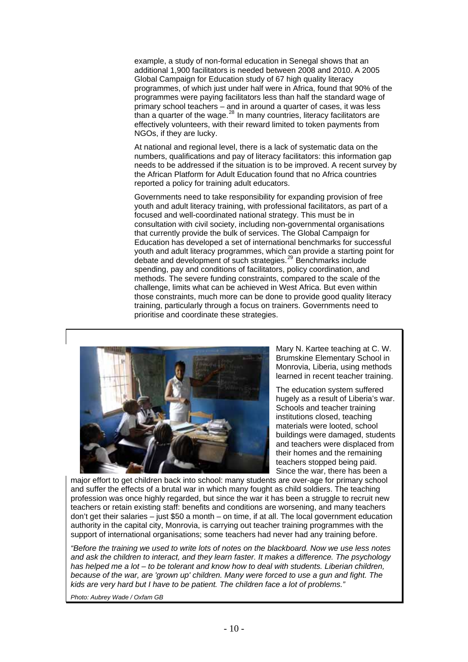example, a study of non-formal education in Senegal shows that an additional 1,900 facilitators is needed between 2008 and 2010. A 2005 Global Campaign for Education study of 67 high quality literacy programmes, of which just under half were in Africa, found that 90% of the programmes were paying facilitators less than half the standard wage of primary school teachers – and in around a quarter of cases, it was less primary concerned the wage.<sup>[28](#page-26-1)</sup> In many countries, literacy facilitators are effectively volunteers, with their reward limited to token payments from NGOs, if they are lucky.

At national and regional level, there is a lack of systematic data on the numbers, qualifications and pay of literacy facilitators: this information gap needs to be addressed if the situation is to be improved. A recent survey by the African Platform for Adult Education found that no Africa countries reported a policy for training adult educators.

Governments need to take responsibility for expanding provision of free youth and adult literacy training, with professional facilitators, as part of a focused and well-coordinated national strategy. This must be in consultation with civil society, including non-governmental organisations that currently provide the bulk of services. The Global Campaign for Education has developed a set of international benchmarks for successful youth and adult literacy programmes, which can provide a starting point for debate and development of such strategies.[29](#page-26-1) Benchmarks include spending, pay and conditions of facilitators, policy coordination, and methods. The severe funding constraints, compared to the scale of the challenge, limits what can be achieved in West Africa. But even within those constraints, much more can be done to provide good quality literacy training, particularly through a focus on trainers. Governments need to prioritise and coordinate these strategies.



Mary N. Kartee teaching at C. W. Brumskine Elementary School in Monrovia, Liberia, using methods learned in recent teacher training.

The education system suffered hugely as a result of Liberia's war. Schools and teacher training institutions closed, teaching materials were looted, school buildings were damaged, students and teachers were displaced from their homes and the remaining teachers stopped being paid. Since the war, there has been a

major effort to get children back into school: many students are over-age for primary school and suffer the effects of a brutal war in which many fought as child soldiers. The teaching profession was once highly regarded, but since the war it has been a struggle to recruit new teachers or retain existing staff: benefits and conditions are worsening, and many teachers don't get their salaries – just \$50 a month – on time, if at all. The local government education authority in the capital city, Monrovia, is carrying out teacher training programmes with the support of international organisations; some teachers had never had any training before.

*"Before the training we used to write lots of notes on the blackboard. Now we use less notes and ask the children to interact, and they learn faster. It makes a difference. The psychology has helped me a lot – to be tolerant and know how to deal with students. Liberian children, because of the war, are 'grown up' children. Many were forced to use a gun and fight. The kids are very hard but I have to be patient. The children face a lot of problems."* 

*Photo: Aubrey Wade / Oxfam GB*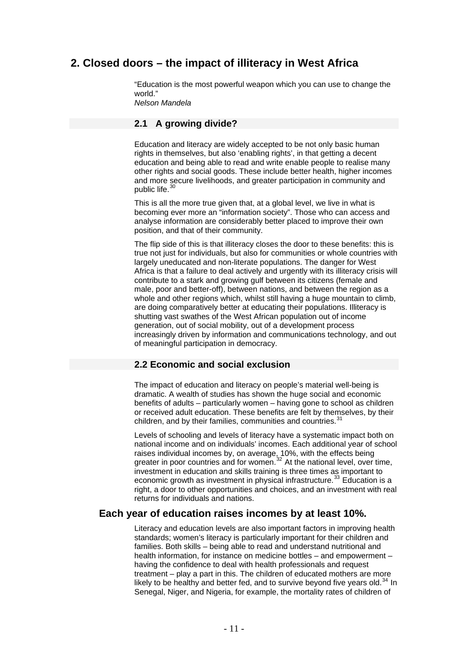# **2. Closed doors – the impact of illiteracy in West Africa**

"Education is the most powerful weapon which you can use to change the world." *Nelson Mandela* 

**2.1 A growing divide?** 

Education and literacy are widely accepted to be not only basic human rights in themselves, but also 'enabling rights', in that getting a decent education and being able to read and write enable people to realise many other rights and social goods. These include better health, higher incomes and more secure livelihoods, and greater participation in community and public life.<sup>[30](#page-26-1)</sup>

This is all the more true given that, at a global level, we live in what is becoming ever more an "information society". Those who can access and analyse information are considerably better placed to improve their own position, and that of their community.

The flip side of this is that illiteracy closes the door to these benefits: this is true not just for individuals, but also for communities or whole countries with largely uneducated and non-literate populations. The danger for West Africa is that a failure to deal actively and urgently with its illiteracy crisis will contribute to a stark and growing gulf between its citizens (female and male, poor and better-off), between nations, and between the region as a whole and other regions which, whilst still having a huge mountain to climb, are doing comparatively better at educating their populations. Illiteracy is shutting vast swathes of the West African population out of income generation, out of social mobility, out of a development process increasingly driven by information and communications technology, and out of meaningful participation in democracy.

## **2.2 Economic and social exclusion**

The impact of education and literacy on people's material well-being is dramatic. A wealth of studies has shown the huge social and economic benefits of adults – particularly women – having gone to school as children or received adult education. These benefits are felt by themselves, by their children, and by their families, communities and countries.<sup>[31](#page-26-1)</sup>

Levels of schooling and levels of literacy have a systematic impact both on national income and on individuals' incomes. Each additional year of school raises individual incomes by, on average, 10%, with the effects being greater in poor countries and for women.<sup>[32](#page-26-1)</sup> At the national level, over time, investment in education and skills training is three times as important to economic growth as investment in physical infrastructure.<sup>[33](#page-26-1)</sup> Education is a right, a door to other opportunities and choices, and an investment with real returns for individuals and nations.

## **Each year of education raises incomes by at least 10%.**

Literacy and education levels are also important factors in improving health standards; women's literacy is particularly important for their children and families. Both skills – being able to read and understand nutritional and health information, for instance on medicine bottles – and empowerment – having the confidence to deal with health professionals and request treatment – play a part in this. The children of educated mothers are more likely to be healthy and better fed, and to survive beyond five years old.<sup>[34](#page-26-1)</sup> In Senegal, Niger, and Nigeria, for example, the mortality rates of children of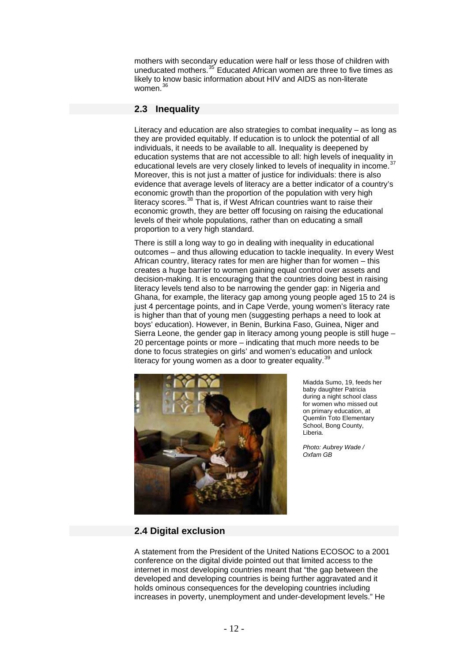mothers with secondary education were half or less those of children with uneducated mothers.<sup>[35](#page-26-1)</sup> Educated African women are three to five times as likely to know basic information about HIV and AIDS as non-literate women.<sup>[36](#page-26-1)</sup>

## **2.3 Inequality**

Literacy and education are also strategies to combat inequality – as long as they are provided equitably. If education is to unlock the potential of all individuals, it needs to be available to all. Inequality is deepened by education systems that are not accessible to all: high levels of inequality in educational levels are very closely linked to levels of inequality in income.<sup>[37](#page-26-1)</sup> Moreover, this is not just a matter of justice for individuals: there is also evidence that average levels of literacy are a better indicator of a country's economic growth than the proportion of the population with very high literacy scores.<sup>[38](#page-26-1)</sup> That is, if West African countries want to raise their economic growth, they are better off focusing on raising the educational levels of their whole populations, rather than on educating a small proportion to a very high standard.

There is still a long way to go in dealing with inequality in educational outcomes – and thus allowing education to tackle inequality. In every West African country, literacy rates for men are higher than for women – this creates a huge barrier to women gaining equal control over assets and decision-making. It is encouraging that the countries doing best in raising literacy levels tend also to be narrowing the gender gap: in Nigeria and Ghana, for example, the literacy gap among young people aged 15 to 24 is just 4 percentage points, and in Cape Verde, young women's literacy rate is higher than that of young men (suggesting perhaps a need to look at boys' education). However, in Benin, Burkina Faso, Guinea, Niger and Sierra Leone, the gender gap in literacy among young people is still huge 20 percentage points or more – indicating that much more needs to be done to focus strategies on girls' and women's education and unlock literacy for young women as a door to greater equality.<sup>[39](#page-26-1)</sup>



Miadda Sumo, 19, feeds her baby daughter Patricia during a night school class for women who missed out on primary education, at Quemlin Toto Elementary School, Bong County, Liberia.

*Photo: Aubrey Wade / Oxfam GB*

## **2.4 Digital exclusion**

A statement from the President of the United Nations ECOSOC to a 2001 conference on the digital divide pointed out that limited access to the internet in most developing countries meant that "the gap between the developed and developing countries is being further aggravated and it holds ominous consequences for the developing countries including increases in poverty, unemployment and under-development levels." He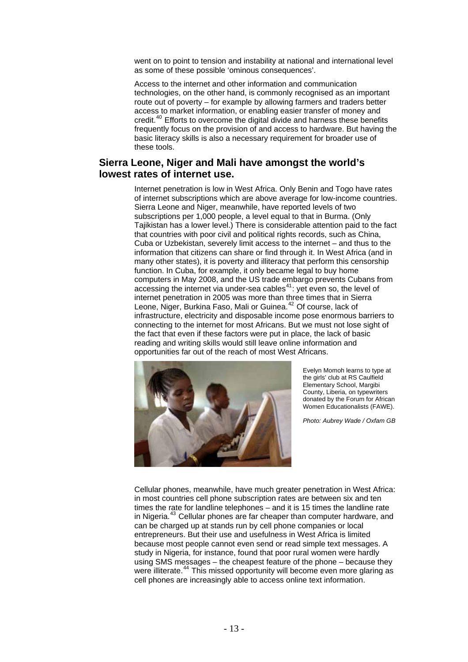went on to point to tension and instability at national and international level as some of these possible 'ominous consequences'.

Access to the internet and other information and communication technologies, on the other hand, is commonly recognised as an important route out of poverty – for example by allowing farmers and traders better access to market information, or enabling easier transfer of money and credit.[40](#page-26-1) Efforts to overcome the digital divide and harness these benefits frequently focus on the provision of and access to hardware. But having the basic literacy skills is also a necessary requirement for broader use of these tools.

## **Sierra Leone, Niger and Mali have amongst the world's lowest rates of internet use.**

Internet penetration is low in West Africa. Only Benin and Togo have rates of internet subscriptions which are above average for low-income countries. Sierra Leone and Niger, meanwhile, have reported levels of two subscriptions per 1,000 people, a level equal to that in Burma. (Only Tajikistan has a lower level.) There is considerable attention paid to the fact that countries with poor civil and political rights records, such as China, Cuba or Uzbekistan, severely limit access to the internet – and thus to the information that citizens can share or find through it. In West Africa (and in many other states), it is poverty and illiteracy that perform this censorship function. In Cuba, for example, it only became legal to buy home computers in May 2008, and the US trade embargo prevents Cubans from accessing the internet via under-sea cables $41$ : yet even so, the level of internet penetration in 2005 was more than three times that in Sierra Leone, Niger, Burkina Faso, Mali or Guinea.<sup>[42](#page-26-1)</sup> Of course, lack of infrastructure, electricity and disposable income pose enormous barriers to connecting to the internet for most Africans. But we must not lose sight of the fact that even if these factors were put in place, the lack of basic reading and writing skills would still leave online information and opportunities far out of the reach of most West Africans.



Evelyn Momoh learns to type at the girls' club at RS Caulfield Elementary School, Margibi County, Liberia, on typewriters donated by the Forum for African Women Educationalists (FAWE).

*Photo: Aubrey Wade / Oxfam GB*

Cellular phones, meanwhile, have much greater penetration in West Africa: in most countries cell phone subscription rates are between six and ten times the rate for landline telephones – and it is 15 times the landline rate in Nigeria.<sup>[43](#page-26-1)</sup> Cellular phones are far cheaper than computer hardware, and can be charged up at stands run by cell phone companies or local entrepreneurs. But their use and usefulness in West Africa is limited because most people cannot even send or read simple text messages. A study in Nigeria, for instance, found that poor rural women were hardly using SMS messages – the cheapest feature of the phone – because they were illiterate.<sup>[44](#page-26-1)</sup> This missed opportunity will become even more glaring as cell phones are increasingly able to access online text information.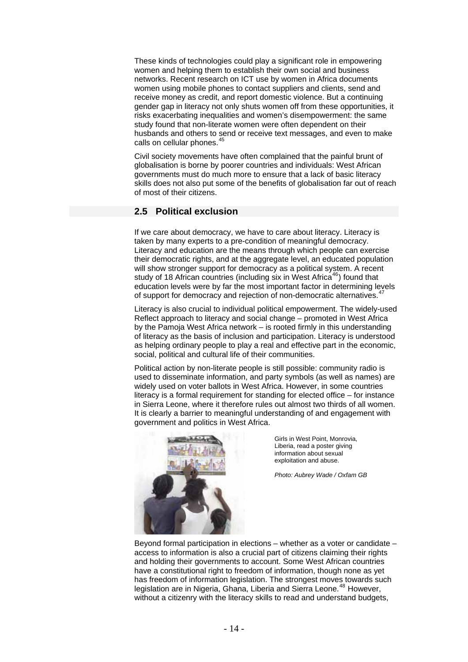These kinds of technologies could play a significant role in empowering women and helping them to establish their own social and business networks. Recent research on ICT use by women in Africa documents women using mobile phones to contact suppliers and clients, send and receive money as credit, and report domestic violence. But a continuing gender gap in literacy not only shuts women off from these opportunities, it risks exacerbating inequalities and women's disempowerment: the same study found that non-literate women were often dependent on their husbands and others to send or receive text messages, and even to make calls on cellular phones.<sup>[45](#page-26-1)</sup>

Civil society movements have often complained that the painful brunt of globalisation is borne by poorer countries and individuals: West African governments must do much more to ensure that a lack of basic literacy skills does not also put some of the benefits of globalisation far out of reach of most of their citizens.

## **2.5 Political exclusion**

If we care about democracy, we have to care about literacy. Literacy is taken by many experts to a pre-condition of meaningful democracy. Literacy and education are the means through which people can exercise their democratic rights, and at the aggregate level, an educated population will show stronger support for democracy as a political system. A recent study of 18 African countries (including six in West Africa<sup>[46](#page-26-1)</sup>) found that education levels were by far the most important factor in determining levels of support for democracy and rejection of non-democratic alternatives.

Literacy is also crucial to individual political empowerment. The widely-used Reflect approach to literacy and social change – promoted in West Africa by the Pamoja West Africa network – is rooted firmly in this understanding of literacy as the basis of inclusion and participation. Literacy is understood as helping ordinary people to play a real and effective part in the economic, social, political and cultural life of their communities.

Political action by non-literate people is still possible: community radio is used to disseminate information, and party symbols (as well as names) are widely used on voter ballots in West Africa. However, in some countries literacy is a formal requirement for standing for elected office – for instance in Sierra Leone, where it therefore rules out almost two thirds of all women. It is clearly a barrier to meaningful understanding of and engagement with government and politics in West Africa.



Girls in West Point, Monrovia, Liberia, read a poster giving information about sexual exploitation and abuse.

*Photo: Aubrey Wade / Oxfam GB*

Beyond formal participation in elections – whether as a voter or candidate – access to information is also a crucial part of citizens claiming their rights and holding their governments to account. Some West African countries have a constitutional right to freedom of information, though none as yet has freedom of information legislation. The strongest moves towards such legislation are in Nigeria, Ghana, Liberia and Sierra Leone.<sup>[48](#page-26-1)</sup> However, without a citizenry with the literacy skills to read and understand budgets,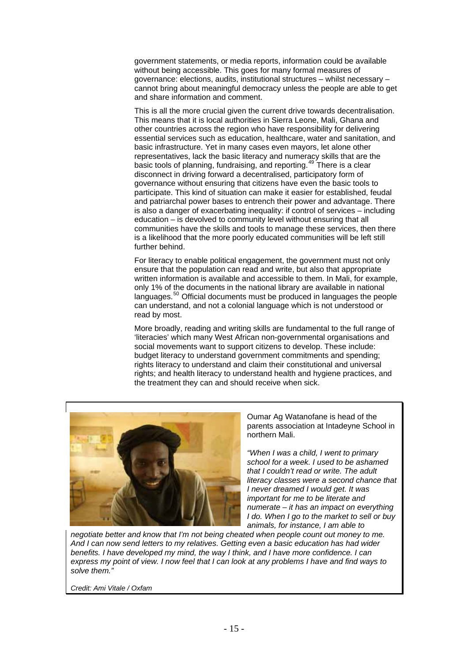government statements, or media reports, information could be available without being accessible. This goes for many formal measures of governance: elections, audits, institutional structures – whilst necessary – cannot bring about meaningful democracy unless the people are able to get and share information and comment.

This is all the more crucial given the current drive towards decentralisation. This means that it is local authorities in Sierra Leone, Mali, Ghana and other countries across the region who have responsibility for delivering essential services such as education, healthcare, water and sanitation, and basic infrastructure. Yet in many cases even mayors, let alone other representatives, lack the basic literacy and numeracy skills that are the basic tools of planning, fundraising, and reporting.[49](#page-26-1) There is a clear disconnect in driving forward a decentralised, participatory form of governance without ensuring that citizens have even the basic tools to participate. This kind of situation can make it easier for established, feudal and patriarchal power bases to entrench their power and advantage. There is also a danger of exacerbating inequality: if control of services – including education – is devolved to community level without ensuring that all communities have the skills and tools to manage these services, then there is a likelihood that the more poorly educated communities will be left still further behind.

For literacy to enable political engagement, the government must not only ensure that the population can read and write, but also that appropriate written information is available and accessible to them. In Mali, for example, only 1% of the documents in the national library are available in national languages.<sup>[50](#page-26-1)</sup> Official documents must be produced in languages the people can understand, and not a colonial language which is not understood or read by most.

More broadly, reading and writing skills are fundamental to the full range of 'literacies' which many West African non-governmental organisations and social movements want to support citizens to develop. These include: budget literacy to understand government commitments and spending; rights literacy to understand and claim their constitutional and universal rights; and health literacy to understand health and hygiene practices, and the treatment they can and should receive when sick.



Oumar Ag Watanofane is head of the parents association at Intadeyne School in northern Mali.

*"When I was a child, I went to primary school for a week. I used to be ashamed that I couldn't read or write. The adult literacy classes were a second chance that I never dreamed I would get. It was important for me to be literate and numerate – it has an impact on everything I do. When I go to the market to sell or buy animals, for instance, I am able to* 

*negotiate better and know that I'm not being cheated when people count out money to me. And I can now send letters to my relatives. Getting even a basic education has had wider benefits. I have developed my mind, the way I think, and I have more confidence. I can express my point of view. I now feel that I can look at any problems I have and find ways to solve them."* 

*Credit: Ami Vitale / Oxfam*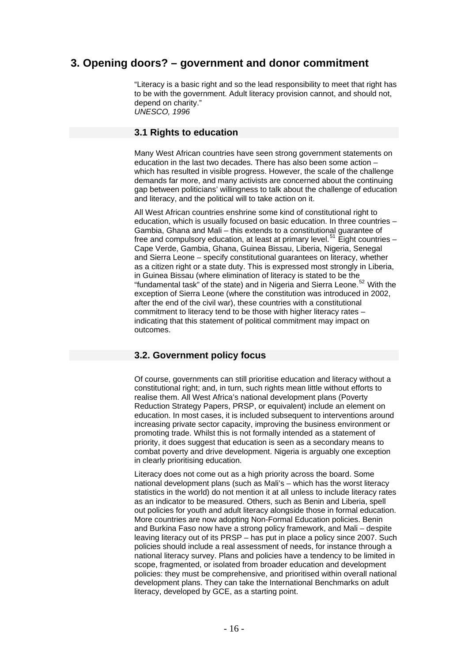# **3. Opening doors? – government and donor commitment**

"Literacy is a basic right and so the lead responsibility to meet that right has to be with the government. Adult literacy provision cannot, and should not, depend on charity." *UNESCO, 1996* 

#### **3.1 Rights to education**

Many West African countries have seen strong government statements on education in the last two decades. There has also been some action – which has resulted in visible progress. However, the scale of the challenge demands far more, and many activists are concerned about the continuing gap between politicians' willingness to talk about the challenge of education and literacy, and the political will to take action on it.

All West African countries enshrine some kind of constitutional right to education, which is usually focused on basic education. In three countries – Gambia, Ghana and Mali – this extends to a constitutional guarantee of free and compulsory education, at least at primary level.<sup>[51](#page-26-1)</sup> Eight countries – Cape Verde, Gambia, Ghana, Guinea Bissau, Liberia, Nigeria, Senegal and Sierra Leone – specify constitutional guarantees on literacy, whether as a citizen right or a state duty. This is expressed most strongly in Liberia, in Guinea Bissau (where elimination of literacy is stated to be the "fundamental task" of the state) and in Nigeria and Sierra Leone.<sup>[52](#page-26-1)</sup> With the exception of Sierra Leone (where the constitution was introduced in 2002, after the end of the civil war), these countries with a constitutional commitment to literacy tend to be those with higher literacy rates – indicating that this statement of political commitment may impact on outcomes.

#### **3.2. Government policy focus**

Of course, governments can still prioritise education and literacy without a constitutional right; and, in turn, such rights mean little without efforts to realise them. All West Africa's national development plans (Poverty Reduction Strategy Papers, PRSP, or equivalent) include an element on education. In most cases, it is included subsequent to interventions around increasing private sector capacity, improving the business environment or promoting trade. Whilst this is not formally intended as a statement of priority, it does suggest that education is seen as a secondary means to combat poverty and drive development. Nigeria is arguably one exception in clearly prioritising education.

Literacy does not come out as a high priority across the board. Some national development plans (such as Mali's – which has the worst literacy statistics in the world) do not mention it at all unless to include literacy rates as an indicator to be measured. Others, such as Benin and Liberia, spell out policies for youth and adult literacy alongside those in formal education. More countries are now adopting Non-Formal Education policies. Benin and Burkina Faso now have a strong policy framework, and Mali – despite leaving literacy out of its PRSP – has put in place a policy since 2007. Such policies should include a real assessment of needs, for instance through a national literacy survey. Plans and policies have a tendency to be limited in scope, fragmented, or isolated from broader education and development policies: they must be comprehensive, and prioritised within overall national development plans. They can take the International Benchmarks on adult literacy, developed by GCE, as a starting point.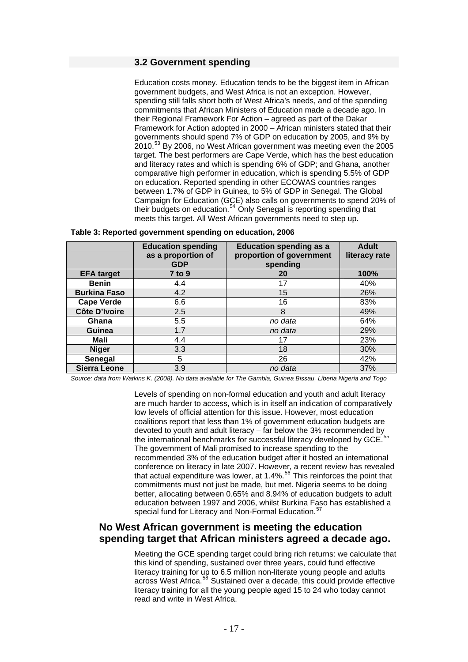#### **3.2 Government spending**

Education costs money. Education tends to be the biggest item in African government budgets, and West Africa is not an exception. However, spending still falls short both of West Africa's needs, and of the spending commitments that African Ministers of Education made a decade ago. In their Regional Framework For Action – agreed as part of the Dakar Framework for Action adopted in 2000 – African ministers stated that their governments should spend 7% of GDP on education by 2005, and 9% by 2010.[53](#page-26-1) By 2006, no West African government was meeting even the 2005 target. The best performers are Cape Verde, which has the best education and literacy rates and which is spending 6% of GDP; and Ghana, another comparative high performer in education, which is spending 5.5% of GDP on education. Reported spending in other ECOWAS countries ranges between 1.7% of GDP in Guinea, to 5% of GDP in Senegal. The Global Campaign for Education (GCE) also calls on governments to spend 20% of their budgets on education.<sup>[54](#page-26-1)</sup> Only Senegal is reporting spending that meets this target. All West African governments need to step up.

|                      | <b>Education spending</b><br>as a proportion of<br><b>GDP</b> | <b>Education spending as a</b><br>proportion of government<br>spending | <b>Adult</b><br>literacy rate |
|----------------------|---------------------------------------------------------------|------------------------------------------------------------------------|-------------------------------|
| <b>EFA target</b>    | <b>7 to 9</b>                                                 | 20                                                                     | 100%                          |
| <b>Benin</b>         | 4.4                                                           | 17                                                                     | 40%                           |
| <b>Burkina Faso</b>  | 4.2                                                           | 15                                                                     | 26%                           |
| <b>Cape Verde</b>    | 6.6                                                           | 16                                                                     | 83%                           |
| <b>Côte D'Ivoire</b> | 2.5                                                           | 8                                                                      | 49%                           |
| Ghana                | 5.5                                                           | no data                                                                | 64%                           |
| <b>Guinea</b>        | 1.7                                                           | no data                                                                | 29%                           |
| Mali                 | 4.4                                                           | 17                                                                     | 23%                           |
| <b>Niger</b>         | 3.3                                                           | 18                                                                     | 30%                           |
| Senegal              | 5                                                             | 26                                                                     | 42%                           |
| <b>Sierra Leone</b>  | 3.9                                                           | no data                                                                | 37%                           |

*Source: data from Watkins K. (2008). No data available for The Gambia, Guinea Bissau, Liberia Nigeria and Togo* 

Levels of spending on non-formal education and youth and adult literacy are much harder to access, which is in itself an indication of comparatively low levels of official attention for this issue. However, most education coalitions report that less than 1% of government education budgets are devoted to youth and adult literacy – far below the 3% recommended by the international benchmarks for successful literacy developed by GCE.<sup>[55](#page-26-1)</sup> The government of Mali promised to increase spending to the recommended 3% of the education budget after it hosted an international conference on literacy in late 2007. However, a recent review has revealed that actual expenditure was lower, at 1.4%.<sup>[56](#page-26-1)</sup> This reinforces the point that commitments must not just be made, but met. Nigeria seems to be doing better, allocating between 0.65% and 8.94% of education budgets to adult education between 1997 and 2006, whilst Burkina Faso has established a special fund for Literacy and Non-Formal Education.<sup>5</sup>

## **No West African government is meeting the education spending target that African ministers agreed a decade ago.**

Meeting the GCE spending target could bring rich returns: we calculate that this kind of spending, sustained over three years, could fund effective literacy training for up to 6.5 million non-literate young people and adults across West Africa.<sup>[58](#page-26-1)</sup> Sustained over a decade, this could provide effective literacy training for all the young people aged 15 to 24 who today cannot read and write in West Africa.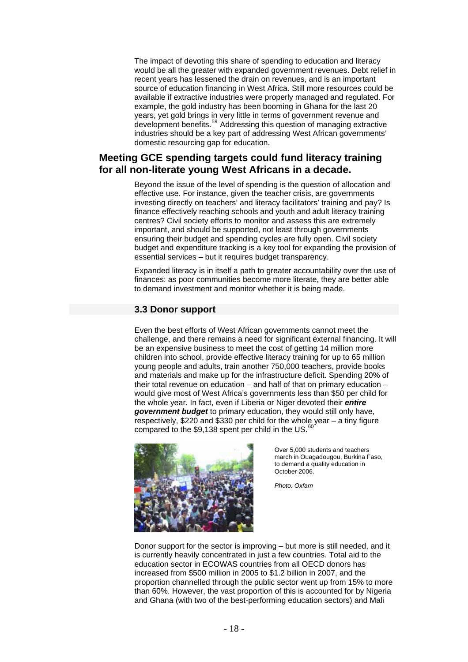The impact of devoting this share of spending to education and literacy would be all the greater with expanded government revenues. Debt relief in recent years has lessened the drain on revenues, and is an important source of education financing in West Africa. Still more resources could be available if extractive industries were properly managed and regulated. For example, the gold industry has been booming in Ghana for the last 20 years, yet gold brings in very little in terms of government revenue and development benefits.<sup>[59](#page-26-1)</sup> Addressing this question of managing extractive industries should be a key part of addressing West African governments' domestic resourcing gap for education.

## **Meeting GCE spending targets could fund literacy training for all non-literate young West Africans in a decade.**

Beyond the issue of the level of spending is the question of allocation and effective use. For instance, given the teacher crisis, are governments investing directly on teachers' and literacy facilitators' training and pay? Is finance effectively reaching schools and youth and adult literacy training centres? Civil society efforts to monitor and assess this are extremely important, and should be supported, not least through governments ensuring their budget and spending cycles are fully open. Civil society budget and expenditure tracking is a key tool for expanding the provision of essential services – but it requires budget transparency.

Expanded literacy is in itself a path to greater accountability over the use of finances: as poor communities become more literate, they are better able to demand investment and monitor whether it is being made.

#### **3.3 Donor support**

Even the best efforts of West African governments cannot meet the challenge, and there remains a need for significant external financing. It will be an expensive business to meet the cost of getting 14 million more children into school, provide effective literacy training for up to 65 million young people and adults, train another 750,000 teachers, provide books and materials and make up for the infrastructure deficit. Spending 20% of their total revenue on education – and half of that on primary education – would give most of West Africa's governments less than \$50 per child for the whole year. In fact, even if Liberia or Niger devoted their *entire government budget* to primary education, they would still only have, respectively, \$220 and \$330 per child for the whole year – a tiny figure compared to the \$9,138 spent per child in the US. $^{60}$  $^{60}$  $^{60}$ 



Over 5,000 students and teachers march in Ouagadougou, Burkina Faso, to demand a quality education in October 2006.

*Photo: Oxfam*

Donor support for the sector is improving – but more is still needed, and it is currently heavily concentrated in just a few countries. Total aid to the education sector in ECOWAS countries from all OECD donors has increased from \$500 million in 2005 to \$1.2 billion in 2007, and the proportion channelled through the public sector went up from 15% to more than 60%. However, the vast proportion of this is accounted for by Nigeria and Ghana (with two of the best-performing education sectors) and Mali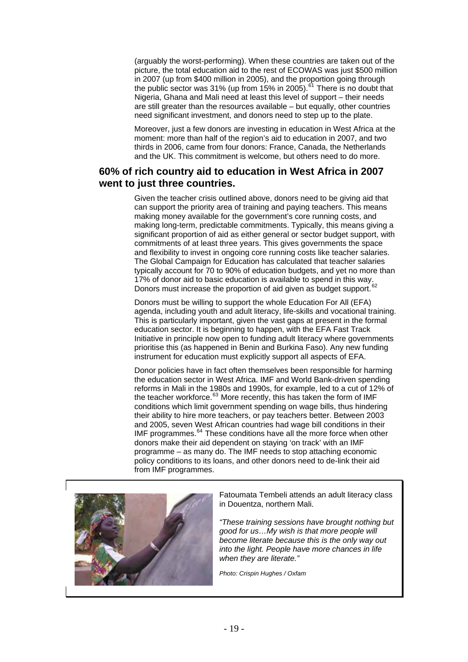(arguably the worst-performing). When these countries are taken out of the picture, the total education aid to the rest of ECOWAS was just \$500 million in 2007 (up from \$400 million in 2005), and the proportion going through the public sector was  $31\%$  (up from 15% in 2005).<sup>[61](#page-26-1)</sup> There is no doubt that Nigeria, Ghana and Mali need at least this level of support – their needs are still greater than the resources available – but equally, other countries need significant investment, and donors need to step up to the plate.

Moreover, just a few donors are investing in education in West Africa at the moment: more than half of the region's aid to education in 2007, and two thirds in 2006, came from four donors: France, Canada, the Netherlands and the UK. This commitment is welcome, but others need to do more.

## **60% of rich country aid to education in West Africa in 2007 went to just three countries.**

Given the teacher crisis outlined above, donors need to be giving aid that can support the priority area of training and paying teachers. This means making money available for the government's core running costs, and making long-term, predictable commitments. Typically, this means giving a significant proportion of aid as either general or sector budget support, with commitments of at least three years. This gives governments the space and flexibility to invest in ongoing core running costs like teacher salaries. The Global Campaign for Education has calculated that teacher salaries typically account for 70 to 90% of education budgets, and yet no more than 17% of donor aid to basic education is available to spend in this way. Donors must increase the proportion of aid given as budget support.<sup>[62](#page-26-1)</sup>

Donors must be willing to support the whole Education For All (EFA) agenda, including youth and adult literacy, life-skills and vocational training. This is particularly important, given the vast gaps at present in the formal education sector. It is beginning to happen, with the EFA Fast Track Initiative in principle now open to funding adult literacy where governments prioritise this (as happened in Benin and Burkina Faso). Any new funding instrument for education must explicitly support all aspects of EFA.

Donor policies have in fact often themselves been responsible for harming the education sector in West Africa. IMF and World Bank-driven spending reforms in Mali in the 1980s and 1990s, for example, led to a cut of 12% of the teacher workforce.<sup>[63](#page-26-1)</sup> More recently, this has taken the form of IMF conditions which limit government spending on wage bills, thus hindering their ability to hire more teachers, or pay teachers better. Between 2003 and 2005, seven West African countries had wage bill conditions in their IMF programmes.<sup>[64](#page-26-1)</sup> These conditions have all the more force when other donors make their aid dependent on staying 'on track' with an IMF programme – as many do. The IMF needs to stop attaching economic policy conditions to its loans, and other donors need to de-link their aid from IMF programmes.



Fatoumata Tembeli attends an adult literacy class in Douentza, northern Mali.

*"These training sessions have brought nothing but good for us…My wish is that more people will become literate because this is the only way out into the light. People have more chances in life when they are literate."*

*Photo: Crispin Hughes / Oxfam*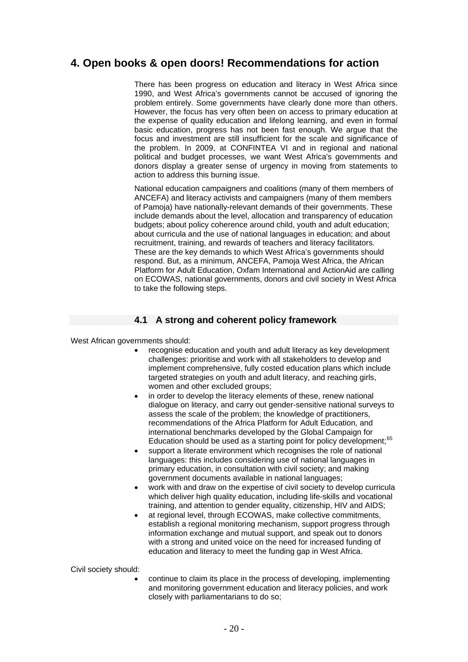# **4. Open books & open doors! Recommendations for action**

There has been progress on education and literacy in West Africa since 1990, and West Africa's governments cannot be accused of ignoring the problem entirely. Some governments have clearly done more than others. However, the focus has very often been on access to primary education at the expense of quality education and lifelong learning, and even in formal basic education, progress has not been fast enough. We argue that the focus and investment are still insufficient for the scale and significance of the problem. In 2009, at CONFINTEA VI and in regional and national political and budget processes, we want West Africa's governments and donors display a greater sense of urgency in moving from statements to action to address this burning issue.

National education campaigners and coalitions (many of them members of ANCEFA) and literacy activists and campaigners (many of them members of Pamoja) have nationally-relevant demands of their governments. These include demands about the level, allocation and transparency of education budgets; about policy coherence around child, youth and adult education; about curricula and the use of national languages in education; and about recruitment, training, and rewards of teachers and literacy facilitators. These are the key demands to which West Africa's governments should respond. But, as a minimum, ANCEFA, Pamoja West Africa, the African Platform for Adult Education, Oxfam International and ActionAid are calling on ECOWAS, national governments, donors and civil society in West Africa to take the following steps.

## **4.1 A strong and coherent policy framework**

West African governments should:

- recognise education and youth and adult literacy as key development challenges: prioritise and work with all stakeholders to develop and implement comprehensive, fully costed education plans which include targeted strategies on youth and adult literacy, and reaching girls, women and other excluded groups;
- in order to develop the literacy elements of these, renew national dialogue on literacy, and carry out gender-sensitive national surveys to assess the scale of the problem; the knowledge of practitioners, recommendations of the Africa Platform for Adult Education, and international benchmarks developed by the Global Campaign for Education should be used as a starting point for policy development: [65](#page-26-1)
- support a literate environment which recognises the role of national languages: this includes considering use of national languages in primary education, in consultation with civil society; and making government documents available in national languages;
- work with and draw on the expertise of civil society to develop curricula which deliver high quality education, including life-skills and vocational training, and attention to gender equality, citizenship, HIV and AIDS;
- at regional level, through ECOWAS, make collective commitments, establish a regional monitoring mechanism, support progress through information exchange and mutual support, and speak out to donors with a strong and united voice on the need for increased funding of education and literacy to meet the funding gap in West Africa.

Civil society should:

• continue to claim its place in the process of developing, implementing and monitoring government education and literacy policies, and work closely with parliamentarians to do so;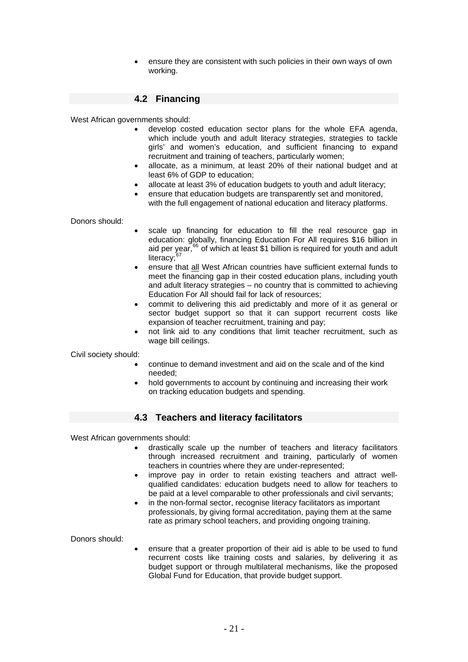• ensure they are consistent with such policies in their own ways of own working.

## **4.2 Financing**

West African governments should:

- develop costed education sector plans for the whole EFA agenda, which include youth and adult literacy strategies, strategies to tackle girls' and women's education, and sufficient financing to expand recruitment and training of teachers, particularly women;
- allocate, as a minimum, at least 20% of their national budget and at least 6% of GDP to education;
- allocate at least 3% of education budgets to youth and adult literacy;
- ensure that education budgets are transparently set and monitored, with the full engagement of national education and literacy platforms.

Donors should:

- scale up financing for education to fill the real resource gap in education: globally, financing Education For All requires \$16 billion in aid per year, $66$  of which at least \$1 billion is required for youth and adult literacy:
- ensure that all West African countries have sufficient external funds to meet the financing gap in their costed education plans, including youth and adult literacy strategies – no country that is committed to achieving Education For All should fail for lack of resources;
- commit to delivering this aid predictably and more of it as general or sector budget support so that it can support recurrent costs like expansion of teacher recruitment, training and pay;
- not link aid to any conditions that limit teacher recruitment, such as wage bill ceilings.

Civil society should:

- continue to demand investment and aid on the scale and of the kind needed;
- hold governments to account by continuing and increasing their work on tracking education budgets and spending.

#### **4.3 Teachers and literacy facilitators**

West African governments should:

- drastically scale up the number of teachers and literacy facilitators through increased recruitment and training, particularly of women teachers in countries where they are under-represented;
- improve pay in order to retain existing teachers and attract wellqualified candidates: education budgets need to allow for teachers to be paid at a level comparable to other professionals and civil servants;
- in the non-formal sector, recognise literacy facilitators as important professionals, by giving formal accreditation, paying them at the same rate as primary school teachers, and providing ongoing training.

Donors should:

ensure that a greater proportion of their aid is able to be used to fund recurrent costs like training costs and salaries, by delivering it as budget support or through multilateral mechanisms, like the proposed Global Fund for Education, that provide budget support.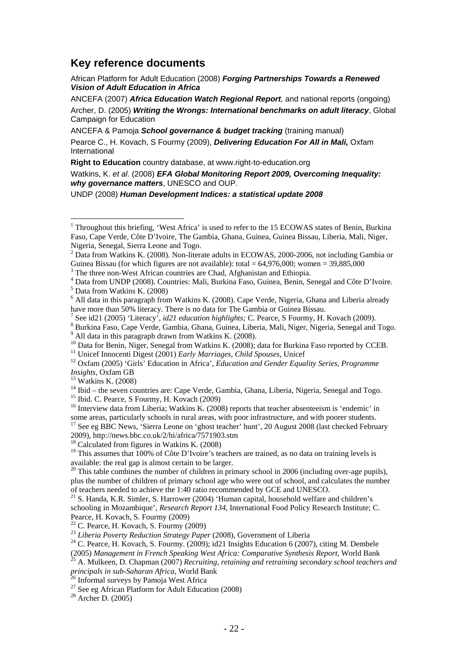## **Key reference documents**

African Platform for Adult Education (2008) *Forging Partnerships Towards a Renewed Vision of Adult Education in Africa*

ANCEFA (2007) *Africa Education Watch Regional Report,* and national reports (ongoing) Archer, D. (2005) *Writing the Wrongs: International benchmarks on adult literacy*, Global Campaign for Education

ANCEFA & Pamoja *School governance & budget tracking* (training manual) Pearce C., H. Kovach, S Fourmy (2009), *Delivering Education For All in Mali,* Oxfam International

**Right to Education** country database, at www.right-to-education.org

Watkins, K. *et al*. (2008) *EFA Global Monitoring Report 2009, Overcoming Inequality: why governance matters*, UNESCO and OUP.

UNDP (2008) *Human Development Indices: a statistical update 2008*

 $\overline{a}$ 

 $14$  Ibid – the seven countries are: Cape Verde, Gambia, Ghana, Liberia, Nigeria, Senegal and Togo. <sup>15</sup> Ibid. C. Pearce, S Fourmy, H. Kovach (2009)

<sup>16</sup> Interview data from Liberia; Watkins K. (2008) reports that teacher absenteeism is 'endemic' in some areas, particularly schools in rural areas, with poor infrastructure, and with poorer students.<br><sup>17</sup> See eg BBC News, 'Sierra Leone on 'ghost teacher' hunt', 20 August 2008 (last checked February 2009). http://news.bb

 $18$  Calculated from figures in Watkins K. (2008)

 $19$  This assumes that 100% of Côte D'Ivoire's teachers are trained, as no data on training levels is available: the real gap is almost certain to be larger.

<sup>21</sup> S. Handa, K.R. Simler, S. Harrower (2004) 'Human capital, household welfare and children's schooling in Mozambique', *Research Report 134*, International Food Policy Research Institute; C. Pearce, H. Kovach, S. Fourmy (2009)<br><sup>22</sup> C. Pearce, H. Kovach, S. Fourmy (2009)<br><sup>23</sup> Liberia Poverty Reduction Strategy Paper (2008), Government of Liberia

<sup>24</sup> C. Pearce, H. Kovach, S. Fourmy. (2009); id21 Insights Education 6 (2007), citing M. Dembele

<sup>&</sup>lt;sup>1</sup> Throughout this briefing, 'West Africa' is used to refer to the 15 ECOWAS states of Benin, Burkina Faso, Cape Verde, Côte D'Ivoire, The Gambia, Ghana, Guinea, Guinea Bissau, Liberia, Mali, Niger, Nigeria, Senegal, Sierra Leone and Togo.

<sup>&</sup>lt;sup>2</sup> Data from Watkins K. (2008). Non-literate adults in ECOWAS, 2000-2006, not including Gambia or Guinea Bissau (for which figures are not available): total =  $64,976,000$ ; women =  $39,885,000$ 

<sup>&</sup>lt;sup>3</sup> The three non-West African countries are Chad, Afghanistan and Ethiopia.<br><sup>4</sup> Deta from UNDB (2008), Countries: Mali, Burking Feso, Guinea, Banja, Sc

<sup>&</sup>lt;sup>4</sup> Data from UNDP (2008). Countries: Mali, Burkina Faso, Guinea, Benin, Senegal and Côte D'Ivoire.  $<sup>5</sup>$  Data from Watkins K. (2008)</sup>

 $6$  All data in this paragraph from Watkins K. (2008). Cape Verde, Nigeria, Ghana and Liberia already have more than 50% literacy. There is no data for The Gambia or Guinea Bissau.

<sup>&</sup>lt;sup>7</sup> See id21 (2005) 'Literacy', *id21 education highlights;* C. Pearce, S Fourmy, H. Kovach (2009).

<sup>&</sup>lt;sup>8</sup> Burkina Faso, Cape Verde, Gambia, Ghana, Guinea, Liberia, Mali, Niger, Nigeria, Senegal and Togo.<br><sup>9</sup> All data in this paragraph drawn from Watkins K. (2008).

<sup>&</sup>lt;sup>10</sup> Data for Benin, Niger, Senegal from Watkins K. (2008); data for Burkina Faso reported by CCEB.<br><sup>11</sup> Unicef Innocenti Digest (2001) *Early Marriages, Child Spouses*, Unicef<br><sup>12</sup> Oxfam (2005) 'Girls' Education in Afric

*Insights*, Oxfam GB 13 Watkins K. (2008)

 $20$  This table combines the number of children in primary school in 2006 (including over-age pupils), plus the number of children of primary school age who were out of school, and calculates the number of teachers needed to achieve the 1:40 ratio recommended by GCE and UNESCO.

<sup>(2005)</sup> *Management in French Speaking West Africa: Comparative Synthesis Report*, World Bank 25 A. Mulkeen, D. Chapman (2007) *Recruiting, retaining and retraining secondary school teachers and* 

*principals in sub-Saharan Africa*, World Bank<sup>26</sup> Informal surveys by Pamoja West Africa

<sup>&</sup>lt;sup>27</sup> See eg African Platform for Adult Education (2008)<br><sup>28</sup> Archer D. (2005)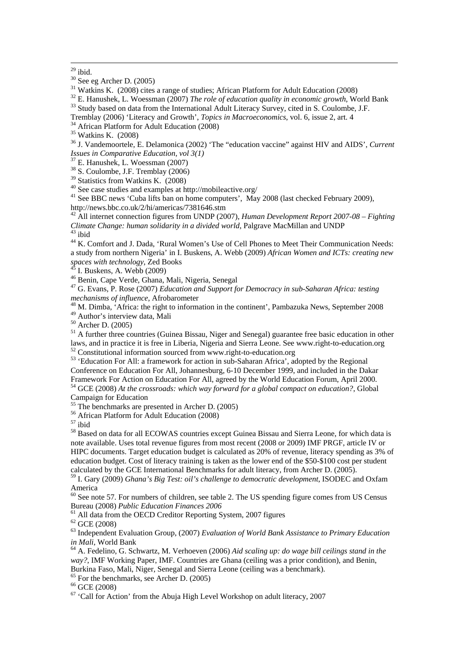$32$  E. Hanushek, L. Woessman (2007) *The role of education quality in economic growth*, World Bank  $33$  Study based on data from the International Adult Literacy Survey, cited in S. Coulombe, J.F.

Tremblay (2006) 'Literacy and Growth', *Topics in Macroeconomics*, vol. 6, issue 2, art. 4 34 African Platform for Adult Education (2008)

36 J. Vandemoortele, E. Delamonica (2002) 'The "education vaccine" against HIV and AIDS', *Current Issues in Comparative Education, vol 3(1)* 

37 E. Hanushek, L. Woessman (2007)

<sup>38</sup> S. Coulombe, J.F. Tremblay (2006)

<sup>39</sup> Statistics from Watkins K. (2008)

40 See case studies and examples at http://mobileactive.org/

<sup>41</sup> See BBC news 'Cuba lifts ban on home computers', May 2008 (last checked February 2009), <http://news.bbc.co.uk/2/hi/americas/7381646.stm>

42 All internet connection figures from UNDP (2007), *Human Development Report 2007-08 – Fighting Climate Change: human solidarity in a divided world*, Palgrave MacMillan and UNDP<sup>43</sup> ibid

<sup>44</sup> K. Comfort and J. Dada, 'Rural Women's Use of Cell Phones to Meet Their Communication Needs: a study from northern Nigeria' in I. Buskens, A. Webb (2009) *African Women and ICTs: creating new spaces with technology*, Zed Books

 $45$  I. Buskens, A. Webb (2009)<br> $46$  Benin, Cape Verde, Ghana, Mali, Nigeria, Senegal

<sup>47</sup> G. Evans, P. Rose (2007) *Education and Support for Democracy in sub-Saharan Africa: testing mechanisms of influence, Afrobarometer* 

*mechanisms of influence*, Africa: the right to information in the continent', Pambazuka News, September 2008 49 Author's interview data, Mali

50 Archer D. (2005)

<sup>51</sup> A further three countries (Guinea Bissau, Niger and Senegal) guarantee free basic education in other laws, and in practice it is free in Liberia, Nigeria and Sierra Leone. See www.right-to-education.org 52 Constitutional information sourced from www.right-to-education.org

53 'Education For All: a framework for action in sub-Saharan Africa', adopted by the Regional Conference on Education For All, Johannesburg, 6-10 December 1999, and included in the Dakar Framework For Action on Education For All, agreed by the World Education Forum, April 2000. 54 GCE (2008) *At the crossroads: which way forward for a global compact on education?*, Global

 $\frac{1}{55}$  Campaign for Education

The benchmarks are presented in Archer D. (2005)

56 African Platform for Adult Education (2008)

 $57$  ibid

<sup>58</sup> Based on data for all ECOWAS countries except Guinea Bissau and Sierra Leone, for which data is note available. Uses total revenue figures from most recent (2008 or 2009) IMF PRGF, article IV or HIPC documents. Target education budget is calculated as 20% of revenue, literacy spending as 3% of education budget. Cost of literacy training is taken as the lower end of the \$50-\$100 cost per student calculated by the GCE International Benchmarks for adult literacy, from Archer D. (2005).

59 I. Gary (2009) *Ghana's Big Test: oil's challenge to democratic development*, ISODEC and Oxfam America

 $60$  See note 57. For numbers of children, see table 2. The US spending figure comes from US Census Bureau (2008) *Public Education Finances* 2006

<sup>61</sup> All data from the OECD Creditor Reporting System, 2007 figures

62 GCE (2008)

<sup>63</sup> Independent Evaluation Group, (2007) *Evaluation of World Bank Assistance to Primary Education in Mali*, World Bank

<sup>64</sup> A. Fedelino, G. Schwartz, M. Verhoeven (2006) *Aid scaling up: do wage bill ceilings stand in the way?*, IMF Working Paper, IMF. Countries are Ghana (ceiling was a prior condition), and Benin, Burkina Faso, Mali, Niger, Senegal and Sierra Leone (ceiling was a benchmark).

65 For the benchmarks, see Archer D. (2005)

66 GCE (2008)

 $67$  'Call for Action' from the Abuja High Level Workshop on adult literacy, 2007

 $29$  ibid.

<sup>30</sup> See eg Archer D. (2005)

<sup>&</sup>lt;sup>31</sup> Watkins K. (2008) cites a range of studies; African Platform for Adult Education (2008)

<sup>35</sup> Watkins K. (2008)